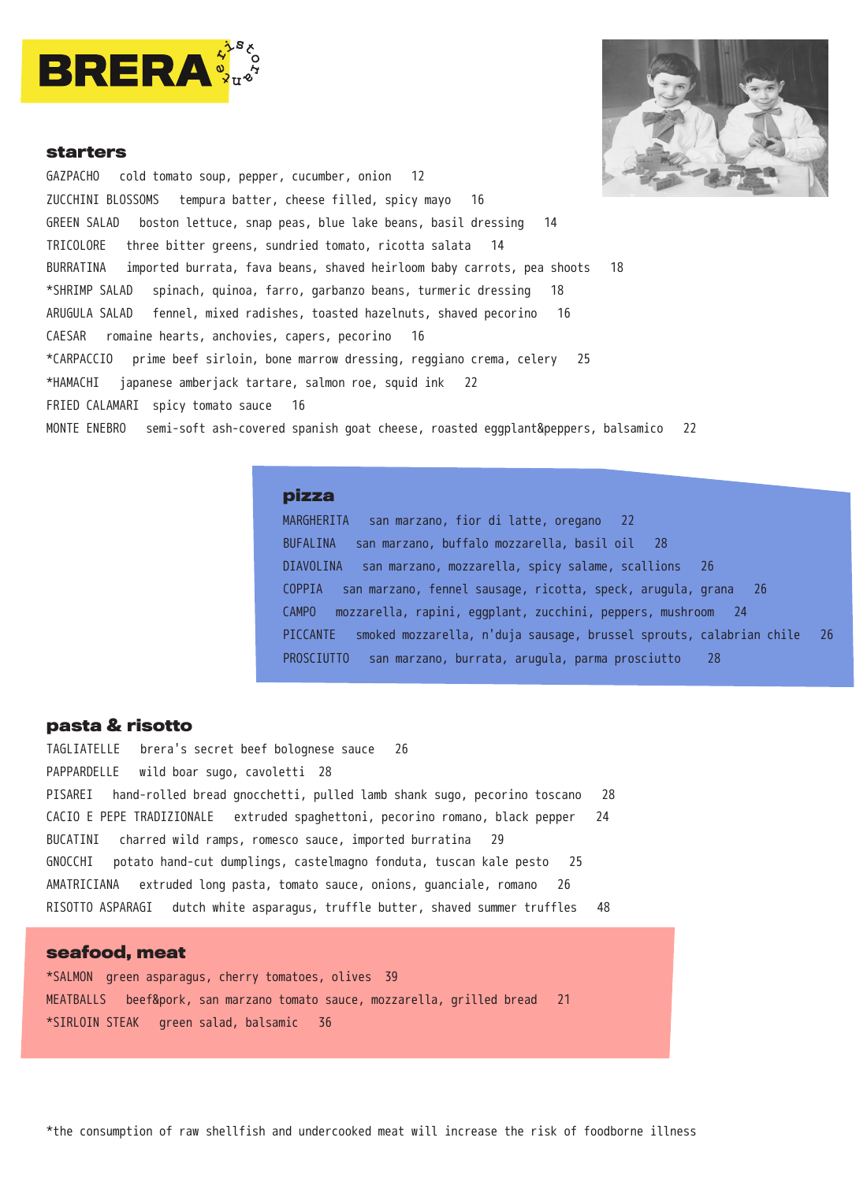



### **starters**

GAZPACHO cold tomato soup, pepper, cucumber, onion 12 ZUCCHINI BLOSSOMS tempura batter, cheese filled, spicy mayo 16 GREEN SALAD boston lettuce, snap peas, blue lake beans, basil dressing 14 TRICOLORE three bitter greens, sundried tomato, ricotta salata 14 BURRATINA imported burrata, fava beans, shaved heirloom baby carrots, pea shoots 18 \*SHRIMP SALAD spinach, quinoa, farro, garbanzo beans, turmeric dressing 18 ARUGULA SALAD fennel, mixed radishes, toasted hazelnuts, shaved pecorino 16 CAESAR romaine hearts, anchovies, capers, pecorino 16 \*CARPACCIO prime beef sirloin, bone marrow dressing, reggiano crema, celery 25 \*HAMACHI japanese amberjack tartare, salmon roe, squid ink 22 FRIED CALAMARI spicy tomato sauce 16 MONTE ENEBRO semi-soft ash-covered spanish goat cheese, roasted eggplant&peppers, balsamico 22

# **pizza**

MARGHERITA san marzano, fior di latte, oregano 22 BUFALINA san marzano, buffalo mozzarella, basil oil 28 DIAVOLINA san marzano, mozzarella, spicy salame, scallions 26 COPPIA san marzano, fennel sausage, ricotta, speck, arugula, grana 26 CAMPO mozzarella, rapini, eggplant, zucchini, peppers, mushroom 24 PICCANTE smoked mozzarella, n'duja sausage, brussel sprouts, calabrian chile 26 PROSCIUTTO san marzano, burrata, arugula, parma prosciutto 28

## **pasta & risotto**

TAGLIATELLE brera's secret beef bolognese sauce 26 PAPPARDELLE wild boar sugo, cavoletti 28 PISAREI hand-rolled bread gnocchetti, pulled lamb shank sugo, pecorino toscano 28 CACIO E PEPE TRADIZIONALE extruded spaghettoni, pecorino romano, black pepper 24 BUCATINI charred wild ramps, romesco sauce, imported burratina 29 GNOCCHI potato hand-cut dumplings, castelmagno fonduta, tuscan kale pesto 25 AMATRICIANA extruded long pasta, tomato sauce, onions, guanciale, romano 26 RISOTTO ASPARAGI dutch white asparagus, truffle butter, shaved summer truffles 48

## **seafood, meat**

\*SALMON green asparagus, cherry tomatoes, olives 39 MEATBALLS beef&pork, san marzano tomato sauce, mozzarella, grilled bread 21 \*SIRLOIN STEAK green salad, balsamic 36